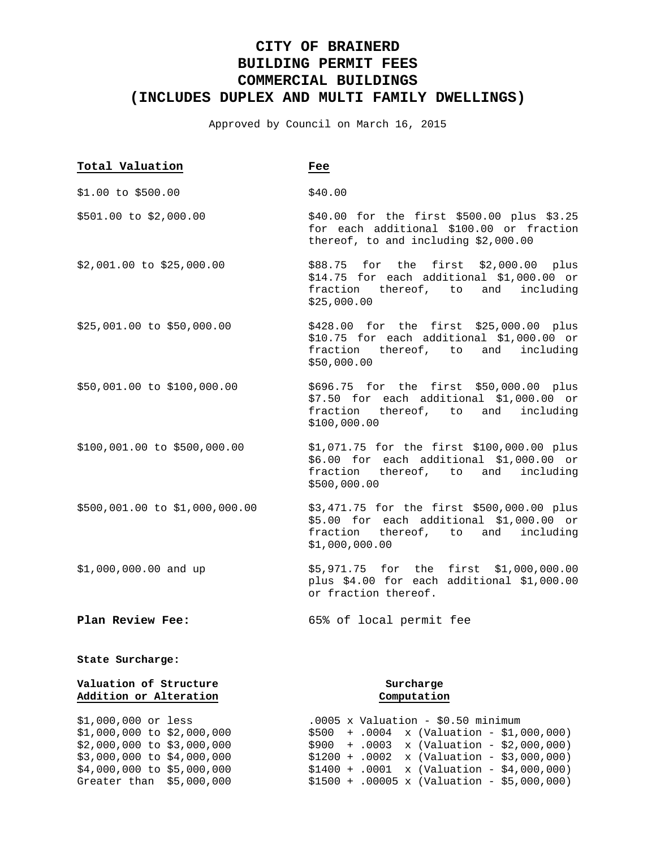# **CITY OF BRAINERD BUILDING PERMIT FEES COMMERCIAL BUILDINGS (INCLUDES DUPLEX AND MULTI FAMILY DWELLINGS)**

Approved by Council on March 16, 2015

| Total Valuation                                                                   | Fee                                                                                                                                                  |  |
|-----------------------------------------------------------------------------------|------------------------------------------------------------------------------------------------------------------------------------------------------|--|
| \$1.00 to \$500.00                                                                | \$40.00                                                                                                                                              |  |
| \$501.00 to \$2,000.00                                                            | \$40.00 for the first \$500.00 plus \$3.25<br>for each additional \$100.00 or fraction<br>thereof, to and including \$2,000.00                       |  |
| \$2,001.00 to \$25,000.00                                                         | \$88.75 for the first \$2,000.00 plus<br>\$14.75 for each additional \$1,000.00 or<br>fraction thereof, to and including<br>\$25,000.00              |  |
| \$25,001.00 to \$50,000.00                                                        | \$428.00 for the first \$25,000.00 plus<br>\$10.75 for each additional \$1,000.00 or<br>fraction thereof, to and including<br>\$50,000.00            |  |
| \$50,001.00 to \$100,000.00                                                       | \$696.75 for the first \$50,000.00 plus<br>\$7.50 for each additional \$1,000.00 or<br>fraction thereof, to and including<br>\$100,000.00            |  |
| $$100,001.00$ to $$500,000.00$                                                    | \$1,071.75 for the first \$100,000.00 plus<br>\$6.00 for each additional \$1,000.00 or<br>fraction thereof, to and including<br>\$500,000.00         |  |
| \$500,001.00 to \$1,000,000.00                                                    | \$3,471.75 for the first \$500,000.00 plus<br>\$5.00 for each additional \$1,000.00 or<br>fraction thereof, to and including<br>\$1,000,000.00       |  |
| \$1,000,000.00 and up                                                             | \$5,971.75 for the first \$1,000,000.00<br>plus \$4.00 for each additional \$1,000.00<br>or fraction thereof.                                        |  |
| Plan Review Fee:                                                                  | 65% of local permit fee                                                                                                                              |  |
| State Surcharge:                                                                  |                                                                                                                                                      |  |
| Valuation of Structure<br>Addition or Alteration                                  | Surcharge<br>Computation                                                                                                                             |  |
| \$1,000,000 or less<br>$$1,000,000$ to $$2,000,000$<br>\$2,000,000 to \$3,000,000 | $.0005$ x Valuation - \$0.50 minimum<br>$x$ (Valuation - \$1,000,000)<br>\$500<br>$+ .0004$<br>$x$ (Valuation - $$2,000,000$ )<br>\$900<br>$+ .0003$ |  |

\$3,000,000 to \$4,000,000 \$1200 + .0002 x (Valuation - \$3,000,000) \$4,000,000 to \$5,000,000 \$1400 + .0001 x (Valuation - \$4,000,000) Greater than \$5,000,000 \$1500 + .00005 x (Valuation - \$5,000,000)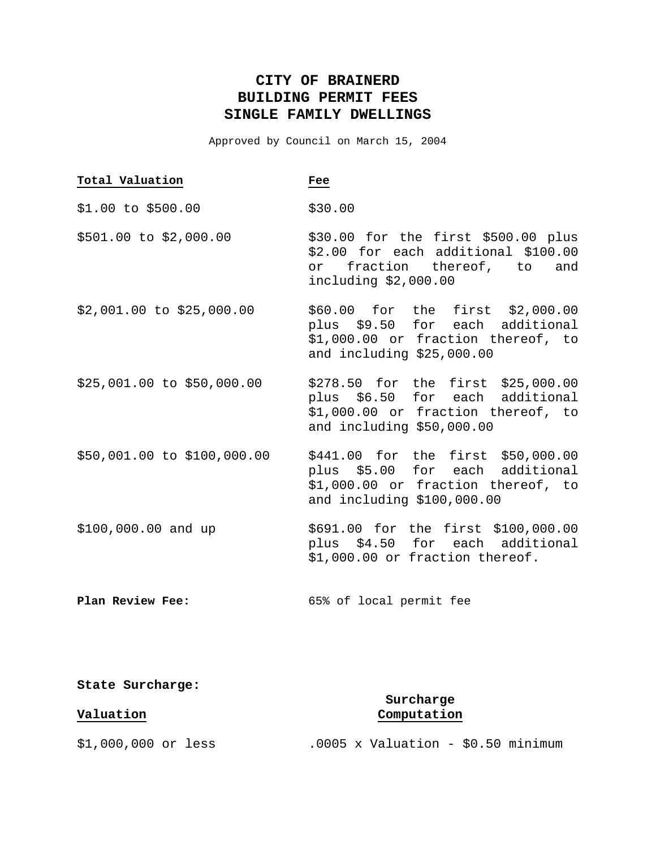## **CITY OF BRAINERD BUILDING PERMIT FEES SINGLE FAMILY DWELLINGS**

Approved by Council on March 15, 2004

#### **Total Valuation Fee**

- $$1.00 \text{ to } $500.00$   $$30.00$
- \$501.00 to \$2,000.00 \$30.00 for the first \$500.00 plus \$2.00 for each additional \$100.00 or fraction thereof, to and including \$2,000.00
- \$2,001.00 to \$25,000.00 \$60.00 for the first \$2,000.00 plus \$9.50 for each additional \$1,000.00 or fraction thereof, to and including \$25,000.00
- \$25,001.00 to \$50,000.00 \$278.50 for the first \$25,000.00 plus \$6.50 for each additional \$1,000.00 or fraction thereof, to and including \$50,000.00
- \$50,001.00 to \$100,000.00 \$441.00 for the first \$50,000.00 plus \$5.00 for each additional \$1,000.00 or fraction thereof, to and including \$100,000.00
- \$100,000.00 and up \$691.00 for the first \$100,000.00 plus \$4.50 for each additional \$1,000.00 or fraction thereof.
- **Plan Review Fee:** 65% of local permit fee

**State Surcharge:** 

 **Surcharge Valuation Computation** 

\$1,000,000 or less .0005 x Valuation - \$0.50 minimum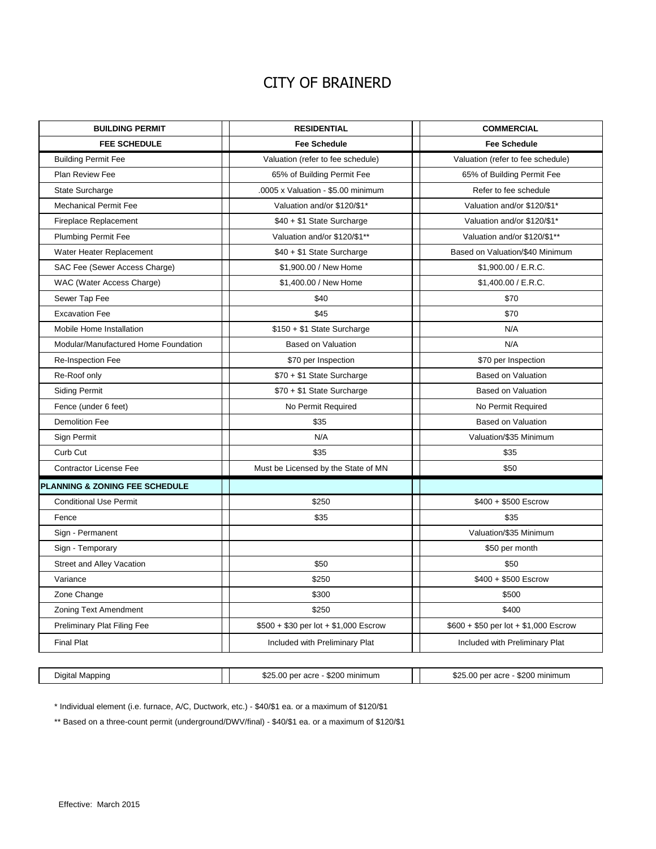# CITY OF BRAINERD

| <b>BUILDING PERMIT</b>               | <b>RESIDENTIAL</b>                    | <b>COMMERCIAL</b>                     |
|--------------------------------------|---------------------------------------|---------------------------------------|
| <b>FEE SCHEDULE</b>                  | <b>Fee Schedule</b>                   | <b>Fee Schedule</b>                   |
| <b>Building Permit Fee</b>           | Valuation (refer to fee schedule)     | Valuation (refer to fee schedule)     |
| Plan Review Fee                      | 65% of Building Permit Fee            | 65% of Building Permit Fee            |
| State Surcharge                      | .0005 x Valuation - \$5.00 minimum    | Refer to fee schedule                 |
| <b>Mechanical Permit Fee</b>         | Valuation and/or \$120/\$1*           | Valuation and/or \$120/\$1*           |
| <b>Fireplace Replacement</b>         | \$40 + \$1 State Surcharge            | Valuation and/or \$120/\$1*           |
| <b>Plumbing Permit Fee</b>           | Valuation and/or \$120/\$1**          | Valuation and/or \$120/\$1**          |
| Water Heater Replacement             | \$40 + \$1 State Surcharge            | Based on Valuation/\$40 Minimum       |
| SAC Fee (Sewer Access Charge)        | \$1,900.00 / New Home                 | \$1,900.00 / E.R.C.                   |
| WAC (Water Access Charge)            | \$1,400.00 / New Home                 | \$1,400.00 / E.R.C.                   |
| Sewer Tap Fee                        | \$40                                  | \$70                                  |
| <b>Excavation Fee</b>                | \$45                                  | \$70                                  |
| Mobile Home Installation             | \$150 + \$1 State Surcharge           | N/A                                   |
| Modular/Manufactured Home Foundation | <b>Based on Valuation</b>             | N/A                                   |
| Re-Inspection Fee                    | \$70 per Inspection                   | \$70 per Inspection                   |
| Re-Roof only                         | \$70 + \$1 State Surcharge            | <b>Based on Valuation</b>             |
| <b>Siding Permit</b>                 | \$70 + \$1 State Surcharge            | <b>Based on Valuation</b>             |
| Fence (under 6 feet)                 | No Permit Required                    | No Permit Required                    |
| <b>Demolition Fee</b>                | \$35                                  | <b>Based on Valuation</b>             |
| Sign Permit                          | N/A                                   | Valuation/\$35 Minimum                |
| Curb Cut                             | \$35                                  | \$35                                  |
| <b>Contractor License Fee</b>        | Must be Licensed by the State of MN   | \$50                                  |
| PLANNING & ZONING FEE SCHEDULE       |                                       |                                       |
| <b>Conditional Use Permit</b>        | \$250                                 | $$400 + $500$ Escrow                  |
| Fence                                | \$35                                  | \$35                                  |
| Sign - Permanent                     |                                       | Valuation/\$35 Minimum                |
| Sign - Temporary                     |                                       | \$50 per month                        |
| <b>Street and Alley Vacation</b>     | \$50                                  | \$50                                  |
| Variance                             | \$250                                 | $$400 + $500$ Escrow                  |
| Zone Change                          | \$300                                 | \$500                                 |
| <b>Zoning Text Amendment</b>         | \$250                                 | \$400                                 |
| <b>Preliminary Plat Filing Fee</b>   | $$500 + $30$ per lot + \$1,000 Escrow | \$600 + \$50 per lot + \$1,000 Escrow |
| <b>Final Plat</b>                    | Included with Preliminary Plat        | Included with Preliminary Plat        |

Digital Mapping **1988 1989 12:100 Per acre - \$200 minimum 1** assets the building of the set of the set of the set of the set of the set of the set of the set of the set of the set of the set of the set of the set of th

\* Individual element (i.e. furnace, A/C, Ductwork, etc.) - \$40/\$1 ea. or a maximum of \$120/\$1

\*\* Based on a three-count permit (underground/DWV/final) - \$40/\$1 ea. or a maximum of \$120/\$1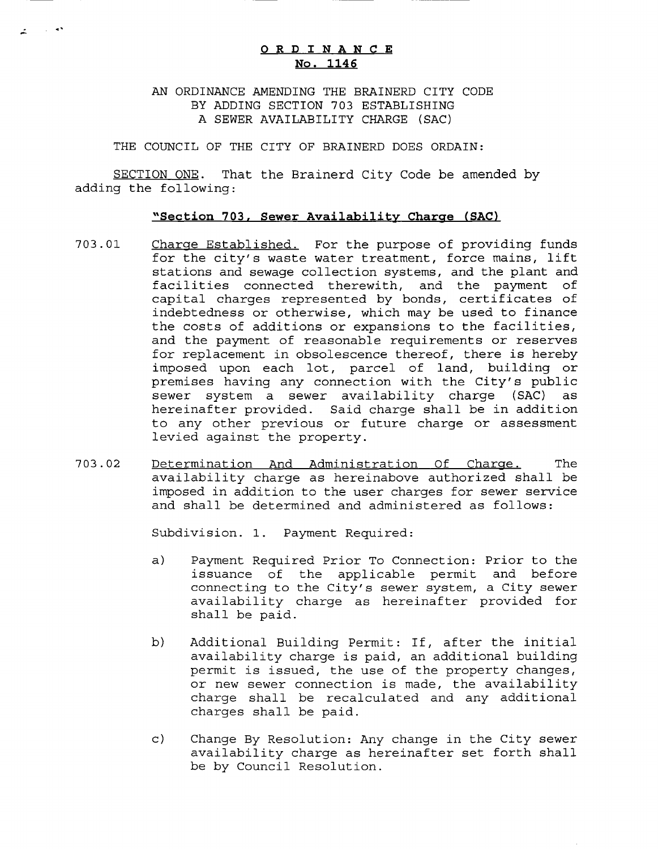### ORDINANCE No. 1146

AN ORDINANCE AMENDING THE BRAINERD CITY CODE BY ADDING SECTION 703 ESTABLISHING A SEWER AVAILABILITY CHARGE ( SAC)

THE COUNCIL OF THE CITY OF BRAINERD DOES ORDAIN:

 $\mathbf{z} \in \mathbb{R}^{|\mathbf{c}|}$ 

SECTION ONE. That the Brainerd City Code be amended by adding the following:

#### "Section 703, Sewer Availability Charge (SAC)

- 703. 01 Charge Established. For the purpose of providing funds<br>for the city's waste water treatment, force mains, lift for the city's waste water treatment, force mains, lift stations and sewage collection systems, and the plant and facilities connected therewith, and the payment of capital charges represented by bonds, certificates of indebtedness or otherwise, which may be used to finance the costs of additions or expansions to the facilities, and the payment of reasonable requirements or reserves for replacement in obsolescence thereof, there is hereby imposed upon each lot, parcel of land, building or premises having any connection with the City's public<br>sewer system a sewer availability charge (SAC) as sewer system a sewer availability charge (SAC) hereinafter provided. Said charge shall be in addition to any other previous or future charge or assessment levied against the property.
- 703. 02 Determination And Administration Of Charge. The availability charge as hereinabove authorized shall be imposed in addition to the user charges for sewer service and shall be determined and administered as follows:

Subdivision. 1. Payment Required:

- a) Payment Required Prior To Connection: Prior to the issuance of the applicable permit and before connecting to the City' <sup>s</sup> sewer system, <sup>a</sup> City sewer availability charge as hereinafter provided for shall be paid.
- b) Additional Building Permit: If, after the initial availability charge is paid, an additional building permit is issued, the use of the property changes, or new sewer connection is made, the availability charge shall be recalculated and any additional charges shall be paid.
- c) Change By Resolution: Any change in the City sewer availability charge as hereinafter set forth shall be by Council Resolution.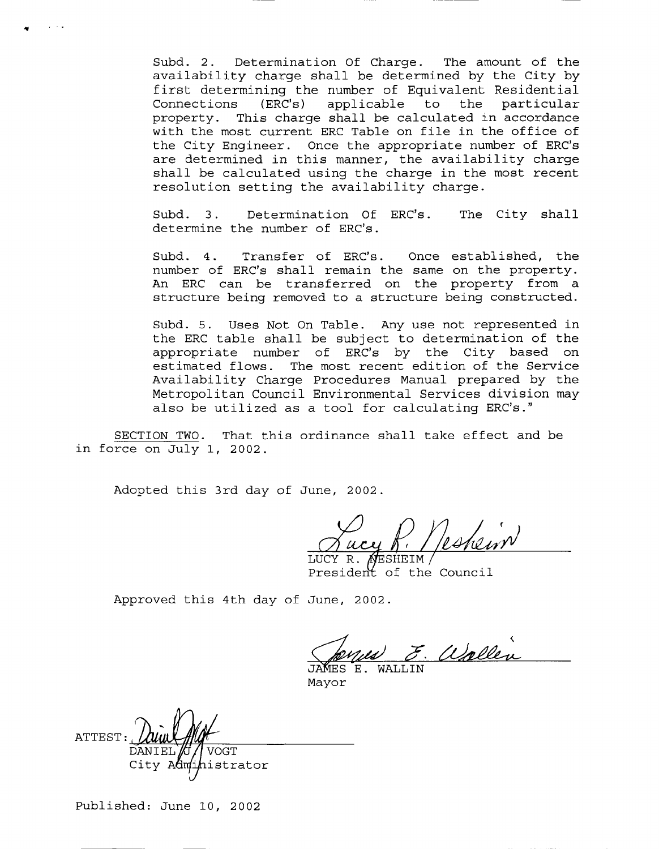Subd. 2. Determination Of Charge. The amount of the availability charge shall be determined by the City by first determining the number of Equivalent Residential applicable to the particular Connections  $(ERC'S)$ property. This charge shall be calculated in accordance with the most current ERC Table on file in the office of the City Engineer. Once the appropriate number of ERC's are determined in this manner, the availability charge shall be calculated using the charge in the most recent resolution setting the availability charge.

Subd. 3. Determination Of ERC's. The City shall determine the number of ERC's.

Subd. 4. Transfer of ERC's. Once established, the number of ERC's shall remain the same on the property. An ERC can be transferred on the property from a structure being removed to a structure being constructed.

Subd. 5. Uses Not On Table. Any use not represented in the ERC table shall be subject to determination of the appropriate number of ERC's by the City based on estimated flows. The most recent edition of the Service Availability Charge Procedures Manual prepared by the Metropolitan Council Environmental Services division may also be utilized as a tool for calculating ERC's."

That this ordinance shall take effect and be SECTION TWO. in force on July 1, 2002.

Adopted this 3rd day of June, 2002.

JCY R. AESHEIM, President of the Council

Approved this 4th day of June, 2002.

E. Wollen

Mayor

**ATTEST** strator

Published: June 10, 2002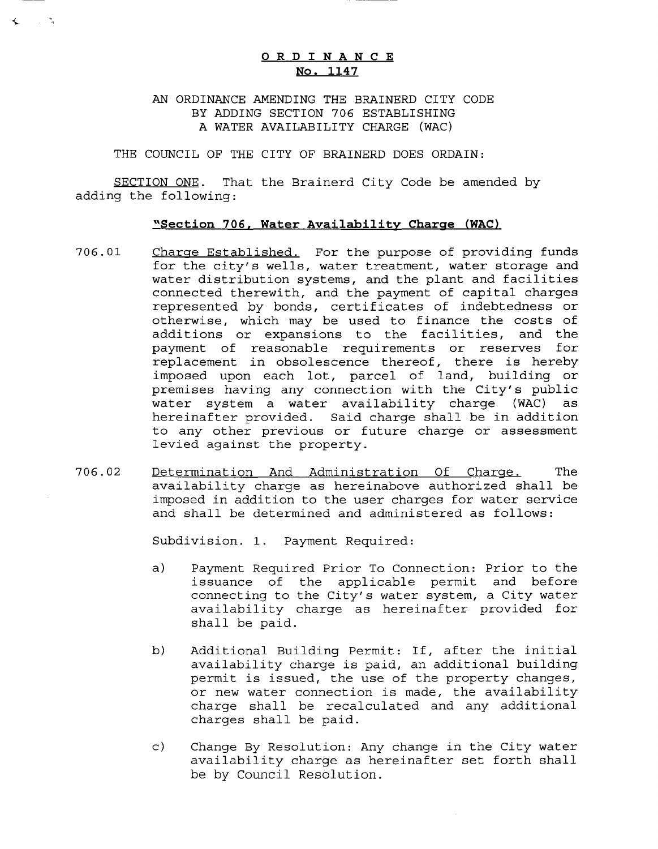#### <sup>o</sup> <sup>R</sup> DIN <sup>A</sup> <sup>N</sup> <sup>C</sup> <sup>E</sup> No. 1147

#### AN ORDINANCE AMENDING THE BRAINERD CITY CODE BY ADDING SECTION 706 ESTABLISHING A WATER AVAILABILITY CHARGE ( WAC)

THE COUNCIL OF THE CITY OF BRAINERD DOES ORDAIN:

 $\leftarrow$   $\sim$   $\sim$ 

SECTION ONE. That the Brainerd City Code be amended by adding the following:

#### "Section 706, Water Availability Charge (WAC)

- 706. 01 Charge Established. For the purpose of providing funds for the city's wells, water treatment, water storage and water distribution systems, and the plant and facilities connected therewith, and the payment of capital charges represented by bonds, certificates of indebtedness or otherwise, which may be used to finance the costs of additions or expansions to the facilities, and the payment of reasonable requirements or reserves for replacement in obsolescence thereof, there is hereby imposed upon each lot, parcel of land, building or premises having any connection with the City's public<br>water system a water availability charge (WAC) as water system a water availability charge (WAC) hereinafter provided. Said charge shall be in addition to any other previous or future charge or assessment levied against the property.
- 706. 02 Determination And Administration Of Charge. The availability charge as hereinabove authorized shall be imposed in addition to the user charges for water service and shall be determined and administered as follows:

Subdivision. 1. Payment Required:

- a) Payment Required Prior To Connection: Prior to the issuance of the applicable permit and before connecting to the City' <sup>s</sup> water system, <sup>a</sup> City water availability charge as hereinafter provided for shall be paid.
- b) Additional Building Permit: If, after the initial availability charge is paid, an additional building permit is issued, the use of the property changes, or new water connection is made, the availability charge shall be recalculated and any additional charges shall be paid.
- c) Change By Resolution: Any change in the City water availability charge as hereinafter set forth shall be by Council Resolution.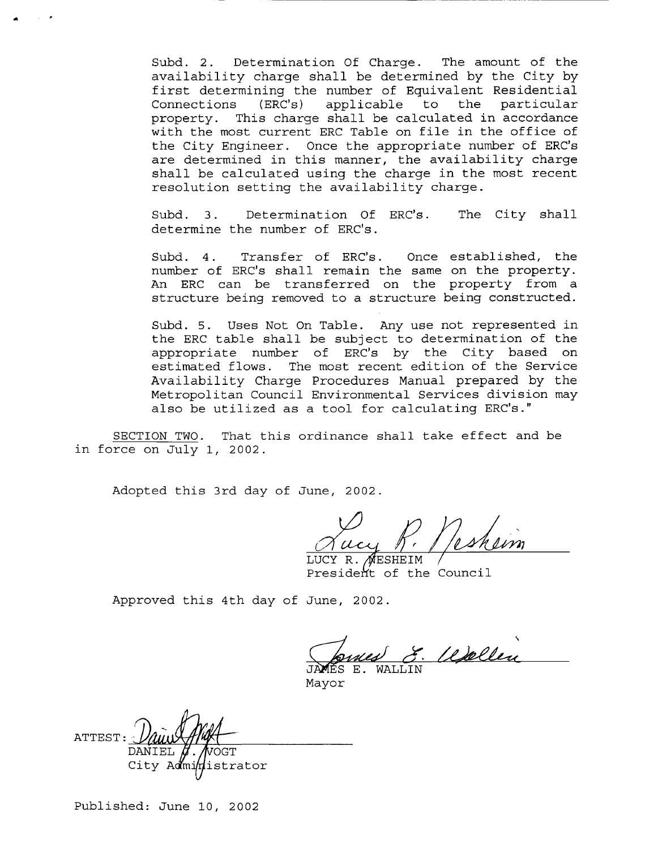Subd. 2. Determination Of Charge. The amount of the availability charge shall be determined by the City by first determining the number of Equivalent Residential Connections (ERC's) applicable to the particular property. This charge shall be calculated in accordance with the most current ERC Table on file in the office of the City Engineer. Once the appropriate number of ERC's are determined in this manner, the availability charge shall be calculated using the charge in the most recent resolution setting the availability charge.

Subd.  $3.$ Determination Of ERC's. The City shall determine the number of ERC's.

Transfer of ERC's. Once established, the Subd. 4. number of ERC's shall remain the same on the property. An ERC can be transferred on the property from a structure being removed to a structure being constructed.

Subd. 5. Uses Not On Table. Any use not represented in the ERC table shall be subject to determination of the appropriate number of ERC's by the City based on estimated flows. The most recent edition of the Service Availability Charge Procedures Manual prepared by the Metropolitan Council Environmental Services division may also be utilized as a tool for calculating ERC's."

SECTION TWO. That this ordinance shall take effect and be in force on July 1, 2002.

Adopted this 3rd day of June, 2002.

LUCY R. AESHEIM President of the Council

Approved this 4th day of June, 2002.

E. Wellen

Mayor

ATTEST: trator

Published: June 10, 2002